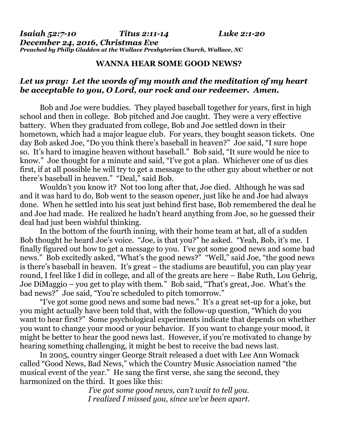## **WANNA HEAR SOME GOOD NEWS?**

## *Let us pray: Let the words of my mouth and the meditation of my heart be acceptable to you, O Lord, our rock and our redeemer. Amen.*

 Bob and Joe were buddies. They played baseball together for years, first in high school and then in college. Bob pitched and Joe caught. They were a very effective battery. When they graduated from college, Bob and Joe settled down in their hometown, which had a major league club. For years, they bought season tickets. One day Bob asked Joe, "Do you think there's baseball in heaven?" Joe said, "I sure hope so. It's hard to imagine heaven without baseball." Bob said, "It sure would be nice to know." Joe thought for a minute and said, "I've got a plan. Whichever one of us dies first, if at all possible he will try to get a message to the other guy about whether or not there's baseball in heaven." "Deal," said Bob.

 Wouldn't you know it? Not too long after that, Joe died. Although he was sad and it was hard to do, Bob went to the season opener, just like he and Joe had always done. When he settled into his seat just behind first base, Bob remembered the deal he and Joe had made. He realized he hadn't heard anything from Joe, so he guessed their deal had just been wishful thinking.

 In the bottom of the fourth inning, with their home team at bat, all of a sudden Bob thought he heard Joe's voice. "Joe, is that you?" he asked. "Yeah, Bob, it's me. I finally figured out how to get a message to you. I've got some good news and some bad news." Bob excitedly asked, "What's the good news?" "Well," said Joe, "the good news is there's baseball in heaven. It's great – the stadiums are beautiful, you can play year round, I feel like I did in college, and all of the greats are here – Babe Ruth, Lou Gehrig, Joe DiMaggio – you get to play with them." Bob said, "That's great, Joe. What's the bad news?" Joe said, "You're scheduled to pitch tomorrow."

 "I've got some good news and some bad news." It's a great set-up for a joke, but you might actually have been told that, with the follow-up question, "Which do you want to hear first?" Some psychological experiments indicate that depends on whether you want to change your mood or your behavior. If you want to change your mood, it might be better to hear the good news last. However, if you're motivated to change by hearing something challenging, it might be best to receive the bad news last.

 In 2005, country singer George Strait released a duet with Lee Ann Womack called "Good News, Bad News," which the Country Music Association named "the musical event of the year." He sang the first verse, she sang the second, they harmonized on the third. It goes like this:

> *I've got some good news, can't wait to tell you. I realized I missed you, since we've been apart.*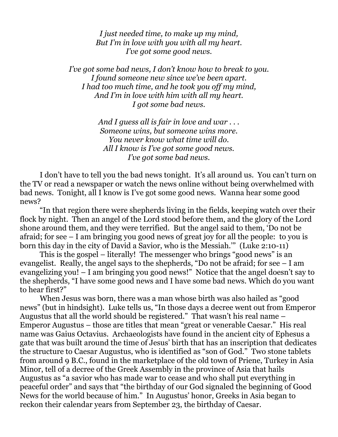*I just needed time, to make up my mind, But I'm in love with you with all my heart. I've got some good news.*

*I've got some bad news, I don't know how to break to you. I found someone new since we've been apart. I had too much time, and he took you off my mind, And I'm in love with him with all my heart. I got some bad news.*

> *And I guess all is fair in love and war . . . Someone wins, but someone wins more. You never know what time will do. All I know is I've got some good news. I've got some bad news.*

 I don't have to tell you the bad news tonight. It's all around us. You can't turn on the TV or read a newspaper or watch the news online without being overwhelmed with bad news. Tonight, all I know is I've got some good news. Wanna hear some good news?

 "In that region there were shepherds living in the fields, keeping watch over their flock by night. Then an angel of the Lord stood before them, and the glory of the Lord shone around them, and they were terrified. But the angel said to them, 'Do not be afraid; for see – I am bringing you good news of great joy for all the people: to you is born this day in the city of David a Savior, who is the Messiah.'" (Luke 2:10-11)

 This is the gospel – literally! The messenger who brings "good news" is an evangelist. Really, the angel says to the shepherds, "Do not be afraid; for see – I am evangelizing you! – I am bringing you good news!" Notice that the angel doesn't say to the shepherds, "I have some good news and I have some bad news. Which do you want to hear first?"

 When Jesus was born, there was a man whose birth was also hailed as "good news" (but in hindsight). Luke tells us, "In those days a decree went out from Emperor Augustus that all the world should be registered." That wasn't his real name – Emperor Augustus – those are titles that mean "great or venerable Caesar." His real name was Gaius Octavius. Archaeologists have found in the ancient city of Ephesus a gate that was built around the time of Jesus' birth that has an inscription that dedicates the structure to Caesar Augustus, who is identified as "son of God." Two stone tablets from around 9 B.C., found in the marketplace of the old town of Priene, Turkey in Asia Minor, tell of a decree of the Greek Assembly in the province of Asia that hails Augustus as "a savior who has made war to cease and who shall put everything in peaceful order" and says that "the birthday of our God signaled the beginning of Good News for the world because of him." In Augustus' honor, Greeks in Asia began to reckon their calendar years from September 23, the birthday of Caesar.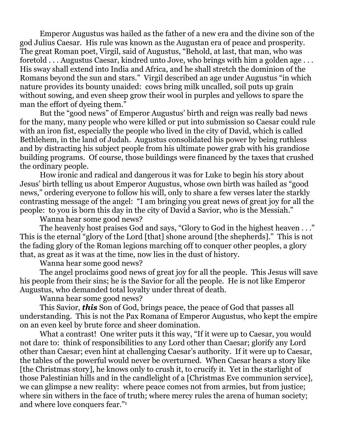Emperor Augustus was hailed as the father of a new era and the divine son of the god Julius Caesar. His rule was known as the Augustan era of peace and prosperity. The great Roman poet, Virgil, said of Augustus, "Behold, at last, that man, who was foretold . . . Augustus Caesar, kindred unto Jove, who brings with him a golden age . . . His sway shall extend into India and Africa, and he shall stretch the dominion of the Romans beyond the sun and stars." Virgil described an age under Augustus "in which nature provides its bounty unaided: cows bring milk uncalled, soil puts up grain without sowing, and even sheep grow their wool in purples and yellows to spare the man the effort of dyeing them."

 But the "good news" of Emperor Augustus' birth and reign was really bad news for the many, many people who were killed or put into submission so Caesar could rule with an iron fist, especially the people who lived in the city of David, which is called Bethlehem, in the land of Judah. Augustus consolidated his power by being ruthless and by distracting his subject people from his ultimate power grab with his grandiose building programs. Of course, those buildings were financed by the taxes that crushed the ordinary people.

 How ironic and radical and dangerous it was for Luke to begin his story about Jesus' birth telling us about Emperor Augustus, whose own birth was hailed as "good news," ordering everyone to follow his will, only to share a few verses later the starkly contrasting message of the angel: "I am bringing you great news of great joy for all the people: to you is born this day in the city of David a Savior, who is the Messiah."

Wanna hear some good news?

 The heavenly host praises God and says, "Glory to God in the highest heaven . . ." This is the eternal "glory of the Lord [that] shone around [the shepherds]." This is not the fading glory of the Roman legions marching off to conquer other peoples, a glory that, as great as it was at the time, now lies in the dust of history.

Wanna hear some good news?

 The angel proclaims good news of great joy for all the people. This Jesus will save his people from their sins; he is the Savior for all the people. He is not like Emperor Augustus, who demanded total loyalty under threat of death.

Wanna hear some good news?

 This Savior, *this* Son of God, brings peace, the peace of God that passes all understanding. This is not the Pax Romana of Emperor Augustus, who kept the empire on an even keel by brute force and sheer domination.

What a contrast! One writer puts it this way, "If it were up to Caesar, you would not dare to: think of responsibilities to any Lord other than Caesar; glorify any Lord other than Caesar; even hint at challenging Caesar's authority. If it were up to Caesar, the tables of the powerful would never be overturned. When Caesar hears a story like [the Christmas story], he knows only to crush it, to crucify it. Yet in the starlight of those Palestinian hills and in the candlelight of a [Christmas Eve communion service], we can glimpse a new reality: where peace comes not from armies, but from justice; where sin withers in the face of truth; where mercy rules the arena of human society; and where love conquers fear."1